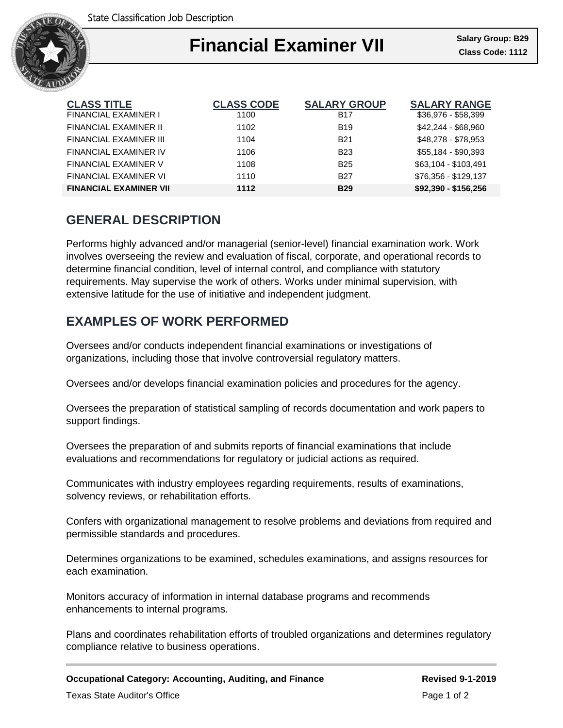

### Ι **Financial Examiner VII** Salary Group: B29

| <b>CLASS TITLE</b>            | <b>CLASS CODE</b> | <b>SALARY GROUP</b> | <b>SALARY RANGE</b>  |
|-------------------------------|-------------------|---------------------|----------------------|
| <b>FINANCIAL EXAMINER I</b>   | 1100              | <b>B17</b>          | $$36,976 - $58,399$  |
| FINANCIAL EXAMINER II         | 1102              | <b>B19</b>          | \$42,244 - \$68,960  |
| FINANCIAL EXAMINER III        | 1104              | <b>B21</b>          | \$48,278 - \$78,953  |
| FINANCIAL EXAMINER IV         | 1106              | <b>B23</b>          | \$55,184 - \$90,393  |
| <b>FINANCIAL EXAMINER V</b>   | 1108              | <b>B25</b>          | \$63.104 - \$103.491 |
| FINANCIAL EXAMINER VI         | 1110              | <b>B27</b>          | \$76.356 - \$129.137 |
| <b>FINANCIAL EXAMINER VII</b> | 1112              | <b>B29</b>          | \$92,390 - \$156,256 |

### **GENERAL DESCRIPTION**

Performs highly advanced and/or managerial (senior-level) financial examination work. Work involves overseeing the review and evaluation of fiscal, corporate, and operational records to determine financial condition, level of internal control, and compliance with statutory requirements. May supervise the work of others. Works under minimal supervision, with extensive latitude for the use of initiative and independent judgment.

# **EXAMPLES OF WORK PERFORMED**

Oversees and/or conducts independent financial examinations or investigations of organizations, including those that involve controversial regulatory matters.

Oversees and/or develops financial examination policies and procedures for the agency.

Oversees the preparation of statistical sampling of records documentation and work papers to support findings.

Oversees the preparation of and submits reports of financial examinations that include evaluations and recommendations for regulatory or judicial actions as required.

Communicates with industry employees regarding requirements, results of examinations, solvency reviews, or rehabilitation efforts.

Confers with organizational management to resolve problems and deviations from required and permissible standards and procedures.

Determines organizations to be examined, schedules examinations, and assigns resources for each examination.

Monitors accuracy of information in internal database programs and recommends enhancements to internal programs.

Plans and coordinates rehabilitation efforts of troubled organizations and determines regulatory compliance relative to business operations.

**Occupational Category: Accounting, Auditing, and Finance Revised 9-1-2019** Texas State Auditor's Office **Page 1 of 2** and 2